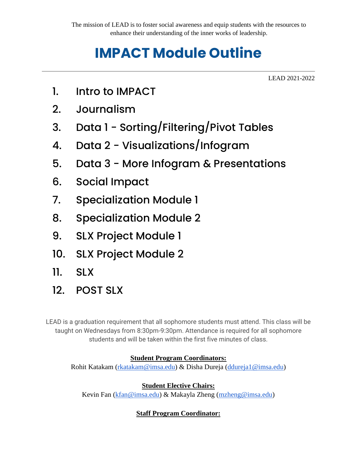# **IMPACT Module Outline**

LEAD 2021-2022

- 1. Intro to IMPACT
- 2. Journalism
- 3. Data 1 Sorting/Filtering/Pivot Tables
- 4. Data 2 Visualizations/Infogram
- 5. Data 3 More Infogram & Presentations
- 6. Social Impact
- 7. Specialization Module 1
- 8. Specialization Module 2
- 9. SLX Project Module 1
- 10. SLX Project Module 2
- 11. SLX
- 12. POST SLX

LEAD is a graduation requirement that all sophomore students must attend. This class will be taught on Wednesdays from 8:30pm-9:30pm. Attendance is required for all sophomore students and will be taken within the first five minutes of class.

#### **Student Program Coordinators:**

Rohit Katakam [\(rkatakam@imsa.edu\)](mailto:rkatakam@imsa.edu) & Disha Dureja [\(ddureja1@imsa.edu\)](mailto:ddureja1@imsa.edu)

### **Student Elective Chairs:**

Kevin Fan [\(kfan@imsa.edu\)](mailto:kfan@imsa.edu) & Makayla Zheng [\(mzheng@imsa.edu\)](mailto:mzheng@imsa.edu)

### **Staff Program Coordinator:**